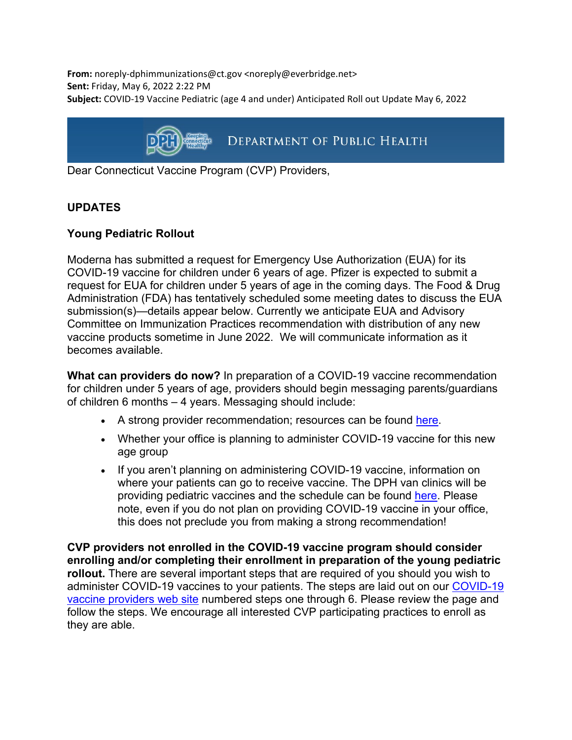**From:** noreply-dphimmunizations@ct.gov <noreply@everbridge.net> **Sent:** Friday, May 6, 2022 2:22 PM **Subject:** COVID-19 Vaccine Pediatric (age 4 and under) Anticipated Roll out Update May 6, 2022



Dear Connecticut Vaccine Program (CVP) Providers,

# **UPDATES**

## **Young Pediatric Rollout**

Moderna has submitted a request for Emergency Use Authorization (EUA) for its COVID-19 vaccine for children under 6 years of age. Pfizer is expected to submit a request for EUA for children under 5 years of age in the coming days. The Food & Drug Administration (FDA) has tentatively scheduled some meeting dates to discuss the EUA submission(s)—details appear below. Currently we anticipate EUA and Advisory Committee on Immunization Practices recommendation with distribution of any new vaccine products sometime in June 2022. We will communicate information as it becomes available.

**What can providers do now?** In preparation of a COVID-19 vaccine recommendation for children under 5 years of age, providers should begin messaging parents/guardians of children 6 months – 4 years. Messaging should include:

- A strong provider recommendation; resources can be found [here.](https://gcc02.safelinks.protection.outlook.com/?url=https%3A%2F%2Fwww.cdc.gov%2Fvaccines%2Fcovid-19%2Fplanning%2Fchildren%2Fresources-promote.html&data=05%7C01%7Ckaitlin.carafa%40ct.gov%7Cbbe5782d06064697642508da2f8d5165%7C118b7cfaa3dd48b9b02631ff69bb738b%7C0%7C0%7C637874581252044496%7CUnknown%7CTWFpbGZsb3d8eyJWIjoiMC4wLjAwMDAiLCJQIjoiV2luMzIiLCJBTiI6Ik1haWwiLCJXVCI6Mn0%3D%7C3000%7C%7C%7C&sdata=l4j5kZswDiHVc0rwPduv3Wuo2GeNTHm0R%2BqFzMy8bc0%3D&reserved=0)
- Whether your office is planning to administer COVID-19 vaccine for this new age group
- If you aren't planning on administering COVID-19 vaccine, information on where your patients can go to receive vaccine. The DPH van clinics will be providing pediatric vaccines and the schedule can be found [here.](https://portal.ct.gov/vaccine-portal/DPH-van-clinics?language=en_US) Please note, even if you do not plan on providing COVID-19 vaccine in your office, this does not preclude you from making a strong recommendation!

**CVP providers not enrolled in the COVID-19 vaccine program should consider enrolling and/or completing their enrollment in preparation of the young pediatric rollout.** There are several important steps that are required of you should you wish to administer COVID-19 vaccines to your patients. The steps are laid out on our [COVID-19](https://portal.ct.gov/DPH/Immunizations/COVID-19-Vaccine-Providers)  [vaccine providers web site](https://portal.ct.gov/DPH/Immunizations/COVID-19-Vaccine-Providers) numbered steps one through 6. Please review the page and follow the steps. We encourage all interested CVP participating practices to enroll as they are able.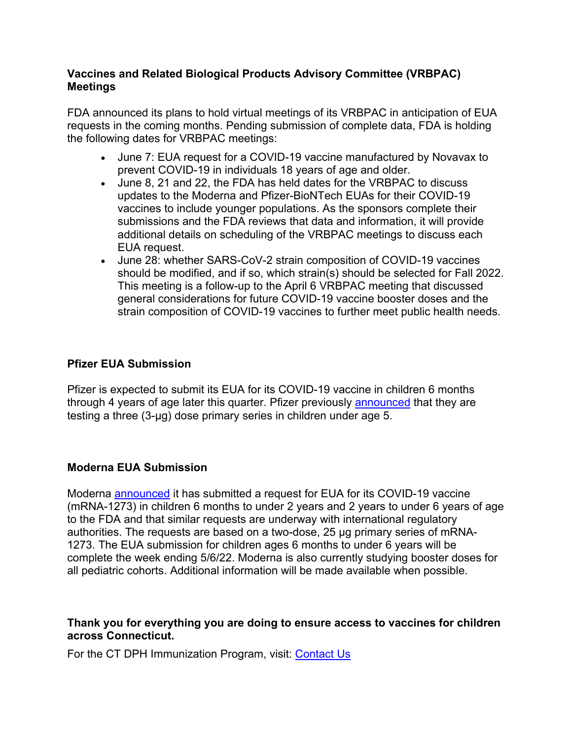## **Vaccines and Related Biological Products Advisory Committee (VRBPAC) Meetings**

FDA announced its plans to hold virtual meetings of its VRBPAC in anticipation of EUA requests in the coming months. Pending submission of complete data, FDA is holding the following dates for VRBPAC meetings:

- June 7: EUA request for a COVID-19 vaccine manufactured by Novavax to prevent COVID-19 in individuals 18 years of age and older.
- June 8, 21 and 22, the FDA has held dates for the VRBPAC to discuss updates to the Moderna and Pfizer-BioNTech EUAs for their COVID-19 vaccines to include younger populations. As the sponsors complete their submissions and the FDA reviews that data and information, it will provide additional details on scheduling of the VRBPAC meetings to discuss each EUA request.
- June 28: whether SARS-CoV-2 strain composition of COVID-19 vaccines should be modified, and if so, which strain(s) should be selected for Fall 2022. This meeting is a follow-up to the April 6 VRBPAC meeting that discussed general considerations for future COVID-19 vaccine booster doses and the strain composition of COVID-19 vaccines to further meet public health needs.

## **Pfizer EUA Submission**

Pfizer is expected to submit its EUA for its COVID-19 vaccine in children 6 months through 4 years of age later this quarter. Pfizer previously [announced](https://gcc02.safelinks.protection.outlook.com/?url=https%3A%2F%2Fwww.pfizer.com%2Fnews%2Fpress-release%2Fpress-release-detail%2Fpfizer-and-biontech-provide-update-rolling-submission&data=05%7C01%7Ckaitlin.carafa%40ct.gov%7Cbbe5782d06064697642508da2f8d5165%7C118b7cfaa3dd48b9b02631ff69bb738b%7C0%7C0%7C637874581252044496%7CUnknown%7CTWFpbGZsb3d8eyJWIjoiMC4wLjAwMDAiLCJQIjoiV2luMzIiLCJBTiI6Ik1haWwiLCJXVCI6Mn0%3D%7C3000%7C%7C%7C&sdata=bIjGWfcXyTQ3u5bKQS0UmpRv5lkrMUOZAr7sjgP2iu0%3D&reserved=0) that they are testing a three (3-µg) dose primary series in children under age 5.

### **Moderna EUA Submission**

Moderna [announced](https://gcc02.safelinks.protection.outlook.com/?url=https%3A%2F%2Finvestors.modernatx.com%2Fnews%2Fnews-details%2F2022%2FModerna-Files-for-Authorization-of-Its-COVID-19-Vaccine-in-Young-Children-Six-Months-to-Under-Six-Years-of-Age%2Fdefault.aspx%23%3A%7E%3Atext%3DThese%2520efficacy%2520estimates%2520are%2520similar%2Cdoses%2520for%2520all%2520pediatric%2520cohorts.&data=05%7C01%7Ckaitlin.carafa%40ct.gov%7Cbbe5782d06064697642508da2f8d5165%7C118b7cfaa3dd48b9b02631ff69bb738b%7C0%7C0%7C637874581252044496%7CUnknown%7CTWFpbGZsb3d8eyJWIjoiMC4wLjAwMDAiLCJQIjoiV2luMzIiLCJBTiI6Ik1haWwiLCJXVCI6Mn0%3D%7C3000%7C%7C%7C&sdata=HwtvDgsganyY1taTRpoI7GNW5wfi%2FUeJNHI86U2Nx%2BU%3D&reserved=0) it has submitted a request for EUA for its COVID-19 vaccine (mRNA-1273) in children 6 months to under 2 years and 2 years to under 6 years of age to the FDA and that similar requests are underway with international regulatory authorities. The requests are based on a two-dose, 25 μg primary series of mRNA-1273. The EUA submission for children ages 6 months to under 6 years will be complete the week ending 5/6/22. Moderna is also currently studying booster doses for all pediatric cohorts. Additional information will be made available when possible.

### **Thank you for everything you are doing to ensure access to vaccines for children across Connecticut.**

For the CT DPH Immunization Program, visit: [Contact Us](https://portal.ct.gov/DPH/Immunizations/Contact-Us)